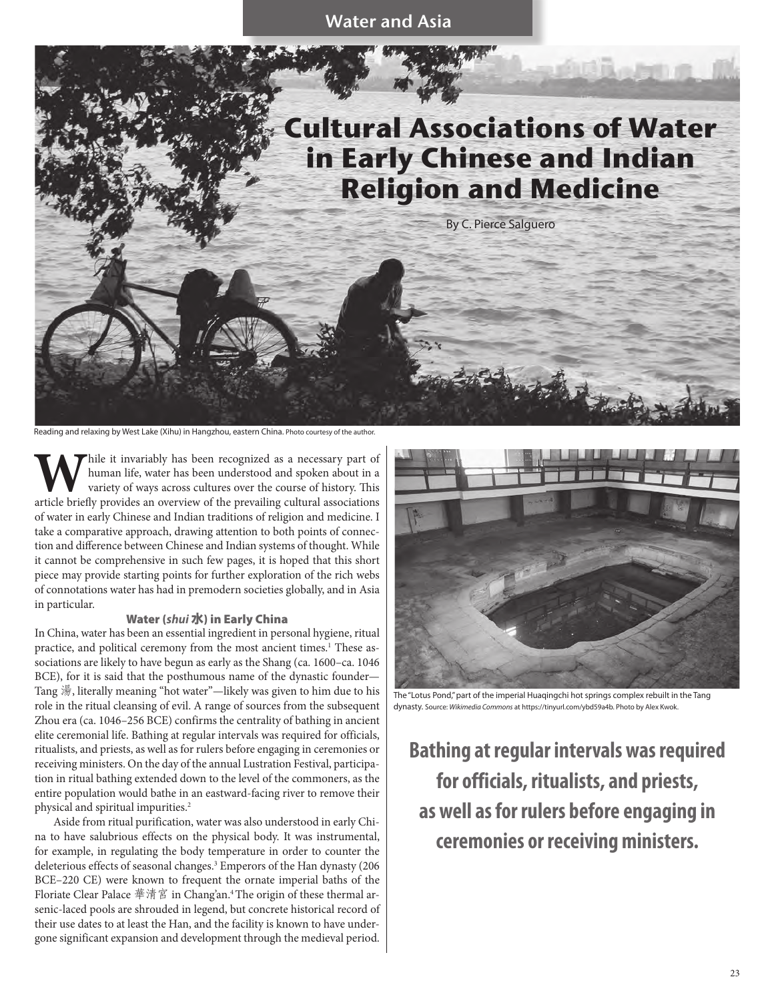Water and Asia



Reading and relaxing by West Lake (Xihu) in Hangzhou, eastern China. Photo courtesy of the author.

While it invariably has been recognized as a necessary part of human life, water has been understood and spoken about in a variety of ways across cultures over the course of history. This article briefly provides an overvi human life, water has been understood and spoken about in a variety of ways across cultures over the course of history. This of water in early Chinese and Indian traditions of religion and medicine. I take a comparative approach, drawing attention to both points of connection and difference between Chinese and Indian systems of thought. While it cannot be comprehensive in such few pages, it is hoped that this short piece may provide starting points for further exploration of the rich webs of connotations water has had in premodern societies globally, and in Asia in particular.

### Water (shui 水) in Early China

In China, water has been an essential ingredient in personal hygiene, ritual practice, and political ceremony from the most ancient times.<sup>1</sup> These associations are likely to have begun as early as the Shang (ca. 1600–ca. 1046 BCE), for it is said that the posthumous name of the dynastic founder— Tang 湯, literally meaning "hot water"—likely was given to him due to his role in the ritual cleansing of evil. A range of sources from the subsequent Zhou era (ca. 1046–256 BCE) confirms the centrality of bathing in ancient elite ceremonial life. Bathing at regular intervals was required for officials, ritualists, and priests, as well as for rulers before engaging in ceremonies or receiving ministers. On the day of the annual Lustration Festival, participation in ritual bathing extended down to the level of the commoners, as the entire population would bathe in an eastward-facing river to remove their physical and spiritual impurities.<sup>2</sup>

Aside from ritual purification, water was also understood in early China to have salubrious effects on the physical body. It was instrumental, for example, in regulating the body temperature in order to counter the deleterious effects of seasonal changes.<sup>3</sup> Emperors of the Han dynasty (206 BCE–220 CE) were known to frequent the ornate imperial baths of the Floriate Clear Palace 華清宮 in Chang'an.<sup>4</sup> The origin of these thermal arsenic-laced pools are shrouded in legend, but concrete historical record of their use dates to at least the Han, and the facility is known to have undergone significant expansion and development through the medieval period.



The "Lotus Pond," part of the imperial Huaqingchi hot springs complex rebuilt in the Tang dynasty. Source: *Wikimedia Commons* at https://tinyurl.com/ybd59a4b. Photo by Alex Kwok.

**Bathing at regular intervals was required for officials, ritualists, and priests, as well as for rulers before engaging in ceremonies or receiving ministers.**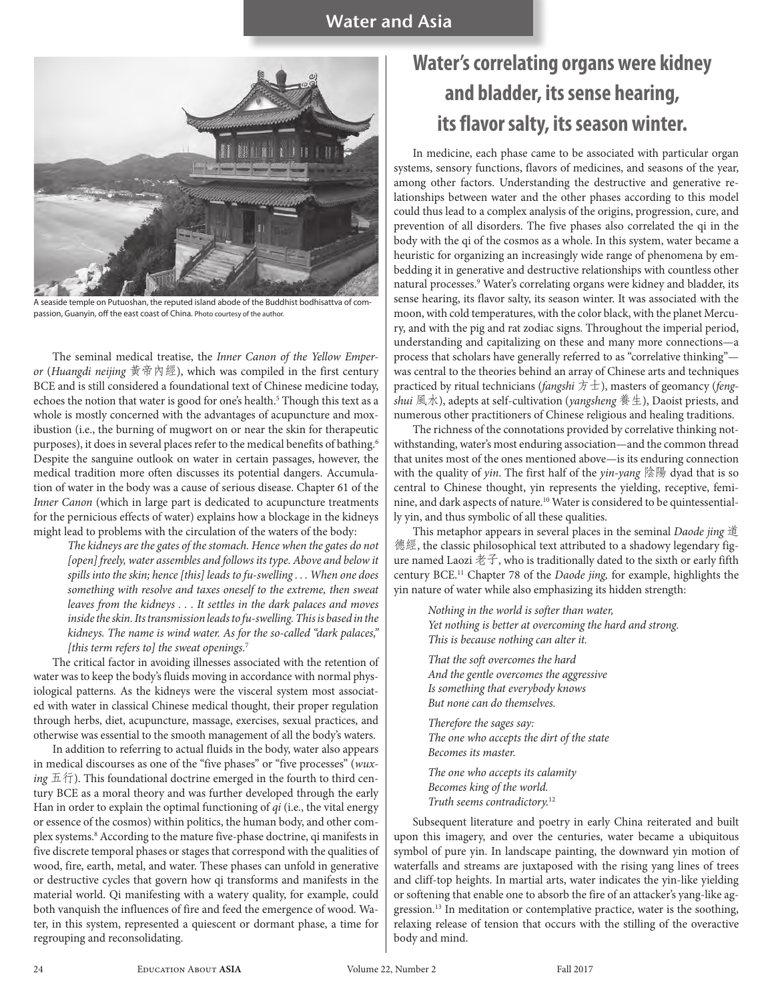

A seaside temple on Putuoshan, the reputed island abode of the Buddhist bodhisattva of compassion, Guanyin, off the east coast of China. Photo courtesy of the author.

The seminal medical treatise, the *Inner Canon of the Yellow Emperor* (*Huangdi neijing* 黃帝內經), which was compiled in the first century BCE and is still considered a foundational text of Chinese medicine today, echoes the notion that water is good for one's health.<sup>5</sup> Though this text as a whole is mostly concerned with the advantages of acupuncture and moxibustion (i.e., the burning of mugwort on or near the skin for therapeutic purposes), it does in several places refer to the medical benefits of bathing.<sup>6</sup> Despite the sanguine outlook on water in certain passages, however, the medical tradition more often discusses its potential dangers. Accumulation of water in the body was a cause of serious disease. Chapter 61 of the *Inner Canon* (which in large part is dedicated to acupuncture treatments for the pernicious effects of water) explains how a blockage in the kidneys might lead to problems with the circulation of the waters of the body:

*The kidneys are the gates of the stomach. Hence when the gates do not*  [open] freely, water assembles and follows its type. Above and below it *spills into the skin; hence [this] leads to fu-swelling . . . When one does something with resolve and taxes oneself to the extreme, then sweat leaves from the kidneys . . . It settles in the dark palaces and moves inside the skin. Its transmission leads to fu-swelling. This is based in the kidneys. The name is wind water. As for the so-called "dark palaces," [this term refers to] the sweat openings.*<sup>7</sup>

The critical factor in avoiding illnesses associated with the retention of water was to keep the body's fluids moving in accordance with normal physiological patterns. As the kidneys were the visceral system most associated with water in classical Chinese medical thought, their proper regulation through herbs, diet, acupuncture, massage, exercises, sexual practices, and otherwise was essential to the smooth management of all the body's waters.

In addition to referring to actual fluids in the body, water also appears in medical discourses as one of the "five phases" or "five processes" (*wuxing* 五行). This foundational doctrine emerged in the fourth to third century BCE as a moral theory and was further developed through the early Han in order to explain the optimal functioning of *qi* (i.e., the vital energy or essence of the cosmos) within politics, the human body, and other complex systems.8 According to the mature five-phase doctrine, qi manifests in five discrete temporal phases or stages that correspond with the qualities of wood, fire, earth, metal, and water. These phases can unfold in generative or destructive cycles that govern how qi transforms and manifests in the material world. Qi manifesting with a watery quality, for example, could both vanquish the influences of fire and feed the emergence of wood. Water, in this system, represented a quiescent or dormant phase, a time for regrouping and reconsolidating.

# **Water's correlating organs were kidney and bladder, its sense hearing, its flavor salty, its season winter.**

In medicine, each phase came to be associated with particular organ systems, sensory functions, flavors of medicines, and seasons of the year, among other factors. Understanding the destructive and generative relationships between water and the other phases according to this model could thus lead to a complex analysis of the origins, progression, cure, and prevention of all disorders. The five phases also correlated the qi in the body with the qi of the cosmos as a whole. In this system, water became a heuristic for organizing an increasingly wide range of phenomena by embedding it in generative and destructive relationships with countless other natural processes.<sup>9</sup> Water's correlating organs were kidney and bladder, its sense hearing, its flavor salty, its season winter. It was associated with the moon, with cold temperatures, with the color black, with the planet Mercury, and with the pig and rat zodiac signs. Throughout the imperial period, understanding and capitalizing on these and many more connections—a process that scholars have generally referred to as "correlative thinking" was central to the theories behind an array of Chinese arts and techniques practiced by ritual technicians (*fangshi* 方士), masters of geomancy (*fengshui* 風水), adepts at self-cultivation (*yangsheng* 養生), Daoist priests, and numerous other practitioners of Chinese religious and healing traditions.

The richness of the connotations provided by correlative thinking notwithstanding, water's most enduring association—and the common thread that unites most of the ones mentioned above—is its enduring connection with the quality of *yin*. The first half of the *yin-yang* 陰陽 dyad that is so central to Chinese thought, yin represents the yielding, receptive, feminine, and dark aspects of nature.10 Water is considered to be quintessentially yin, and thus symbolic of all these qualities.

This metaphor appears in several places in the seminal *Daode jing* 道 德經, the classic philosophical text attributed to a shadowy legendary figure named Laozi 老子, who is traditionally dated to the sixth or early fifth century BCE.11 Chapter 78 of the *Daode jing,* for example, highlights the yin nature of water while also emphasizing its hidden strength:

*Nothing in the world is softer than water, Yet nothing is better at overcoming the hard and strong. This is because nothing can alter it.*

*That the soft overcomes the hard And the gentle overcomes the aggressive Is something that everybody knows But none can do themselves.*

*Therefore the sages say: The one who accepts the dirt of the state Becomes its master.*

*The one who accepts its calamity Becomes king of the world. Truth seems contradictory.*<sup>12</sup>

Subsequent literature and poetry in early China reiterated and built upon this imagery, and over the centuries, water became a ubiquitous symbol of pure yin. In landscape painting, the downward yin motion of waterfalls and streams are juxtaposed with the rising yang lines of trees and cliff-top heights. In martial arts, water indicates the yin-like yielding or softening that enable one to absorb the fire of an attacker's yang-like aggression.<sup>13</sup> In meditation or contemplative practice, water is the soothing, relaxing release of tension that occurs with the stilling of the overactive body and mind.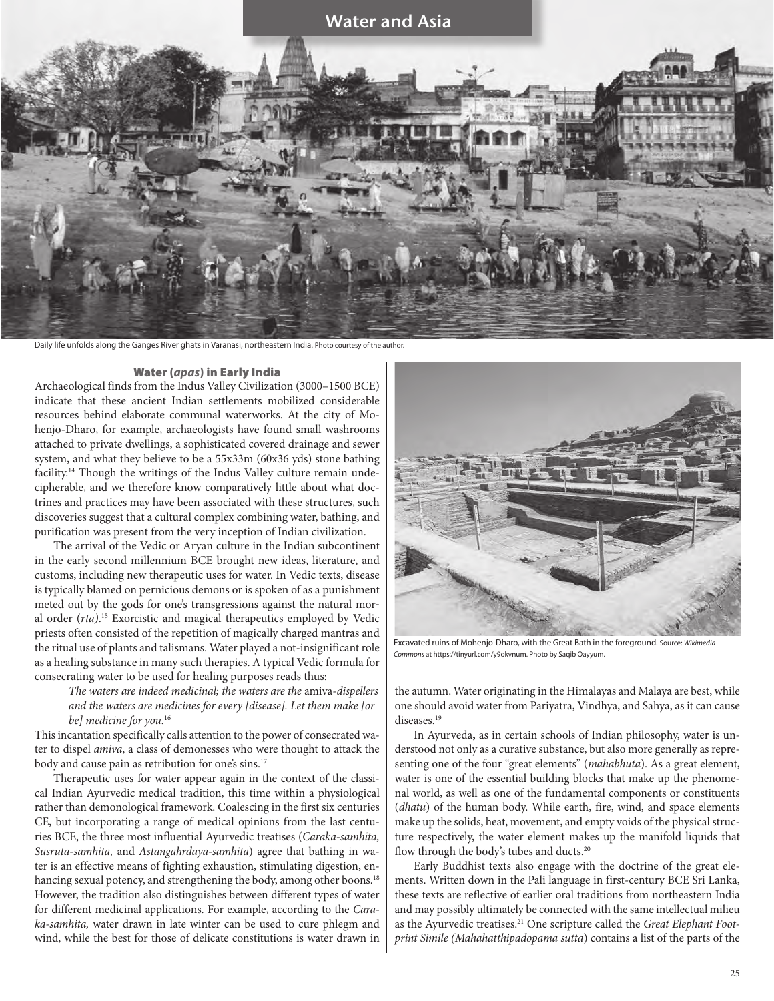# Water and Asia

Daily life unfolds along the Ganges River ghats in Varanasi, northeastern India. Photo courtesy of the author.

### Water (*apas*) in Early India

Archaeological finds from the Indus Valley Civilization (3000–1500 BCE) indicate that these ancient Indian settlements mobilized considerable resources behind elaborate communal waterworks. At the city of Mohenjo-Dharo, for example, archaeologists have found small washrooms attached to private dwellings, a sophisticated covered drainage and sewer system, and what they believe to be a 55x33m (60x36 yds) stone bathing facility.<sup>14</sup> Though the writings of the Indus Valley culture remain undecipherable, and we therefore know comparatively little about what doctrines and practices may have been associated with these structures, such discoveries suggest that a cultural complex combining water, bathing, and purification was present from the very inception of Indian civilization.

The arrival of the Vedic or Aryan culture in the Indian subcontinent in the early second millennium BCE brought new ideas, literature, and customs, including new therapeutic uses for water. In Vedic texts, disease is typically blamed on pernicious demons or is spoken of as a punishment meted out by the gods for one's transgressions against the natural moral order (*rta)*. 15 Exorcistic and magical therapeutics employed by Vedic priests often consisted of the repetition of magically charged mantras and the ritual use of plants and talismans. Water played a not-insignificant role as a healing substance in many such therapies. A typical Vedic formula for consecrating water to be used for healing purposes reads thus:

*The waters are indeed medicinal; the waters are the* amiva-*dispellers and the waters are medicines for every [disease]. Let them make [or be] medicine for you.*<sup>16</sup>

This incantation specifically calls attention to the power of consecrated water to dispel *amiva*, a class of demonesses who were thought to attack the body and cause pain as retribution for one's sins.17

Therapeutic uses for water appear again in the context of the classical Indian Ayurvedic medical tradition, this time within a physiological rather than demonological framework. Coalescing in the first six centuries CE, but incorporating a range of medical opinions from the last centuries BCE, the three most influential Ayurvedic treatises (*Caraka-samhita, Susruta-samhita,* and *Astangahrdaya-samhita*) agree that bathing in water is an effective means of fighting exhaustion, stimulating digestion, enhancing sexual potency, and strengthening the body, among other boons.<sup>18</sup> However, the tradition also distinguishes between different types of water for different medicinal applications. For example, according to the *Caraka-samhita,* water drawn in late winter can be used to cure phlegm and wind, while the best for those of delicate constitutions is water drawn in



Excavated ruins of Mohenjo-Dharo, with the Great Bath in the foreground. Source: *Wikimedia Commons* at https://tinyurl.com/y9okvnum. Photo by Saqib Qayyum.

the autumn. Water originating in the Himalayas and Malaya are best, while one should avoid water from Pariyatra, Vindhya, and Sahya, as it can cause diseases.<sup>19</sup>

In Ayurveda**,** as in certain schools of Indian philosophy, water is understood not only as a curative substance, but also more generally as representing one of the four "great elements" (*mahabhuta*). As a great element, water is one of the essential building blocks that make up the phenomenal world, as well as one of the fundamental components or constituents (*dhatu*) of the human body. While earth, fire, wind, and space elements make up the solids, heat, movement, and empty voids of the physical structure respectively, the water element makes up the manifold liquids that flow through the body's tubes and ducts.<sup>20</sup>

Early Buddhist texts also engage with the doctrine of the great elements. Written down in the Pali language in first-century BCE Sri Lanka, these texts are reflective of earlier oral traditions from northeastern India and may possibly ultimately be connected with the same intellectual milieu as the Ayurvedic treatises.21 One scripture called the *Great Elephant Footprint Simile (Mahahatthipadopama sutta*) contains a list of the parts of the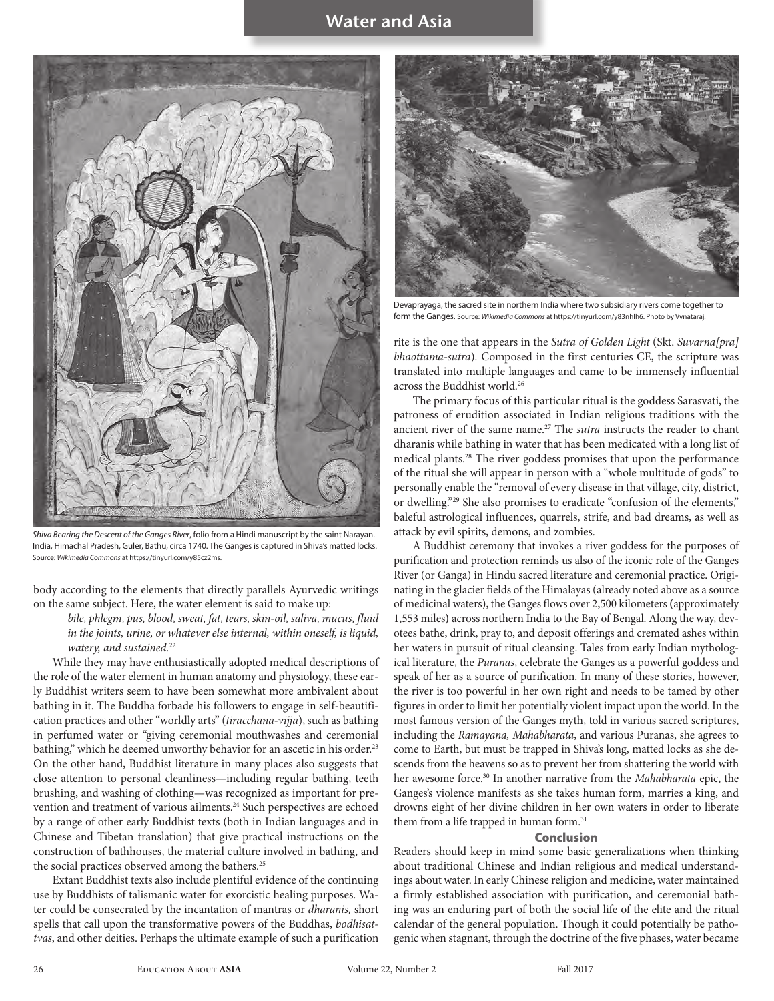## **Water and Asia**



*Shiva Bearing the Descent of the Ganges River*, folio from a Hindi manuscript by the saint Narayan. India, Himachal Pradesh, Guler, Bathu, circa 1740. The Ganges is captured in Shiva's matted locks. Source: *Wikimedia Commons* at https://tinyurl.com/y85cz2ms.

body according to the elements that directly parallels Ayurvedic writings on the same subject. Here, the water element is said to make up:

*bile, phlegm, pus, blood, sweat, fat, tears, skin-oil, saliva, mucus, fluid in the joints, urine, or whatever else internal, within oneself, is liquid, watery, and sustained.*<sup>22</sup>

While they may have enthusiastically adopted medical descriptions of the role of the water element in human anatomy and physiology, these early Buddhist writers seem to have been somewhat more ambivalent about bathing in it. The Buddha forbade his followers to engage in self-beautification practices and other "worldly arts" (*tiracchana-vijja*), such as bathing in perfumed water or "giving ceremonial mouthwashes and ceremonial bathing," which he deemed unworthy behavior for an ascetic in his order.<sup>23</sup> On the other hand, Buddhist literature in many places also suggests that close attention to personal cleanliness—including regular bathing, teeth brushing, and washing of clothing—was recognized as important for prevention and treatment of various ailments.<sup>24</sup> Such perspectives are echoed by a range of other early Buddhist texts (both in Indian languages and in Chinese and Tibetan translation) that give practical instructions on the construction of bathhouses, the material culture involved in bathing, and the social practices observed among the bathers.<sup>25</sup>

Extant Buddhist texts also include plentiful evidence of the continuing use by Buddhists of talismanic water for exorcistic healing purposes. Water could be consecrated by the incantation of mantras or *dharanis,* short spells that call upon the transformative powers of the Buddhas, *bodhisattvas*, and other deities. Perhaps the ultimate example of such a purification



Devaprayaga, the sacred site in northern India where two subsidiary rivers come together to form the Ganges. Source: *Wikimedia Commons* at https://tinyurl.com/y83nhlh6. Photo by Vvnataraj.

rite is the one that appears in the *Sutra of Golden Light* (Skt. *Suvarna[pra] bhaottama-sutra*)*.* Composed in the first centuries CE, the scripture was translated into multiple languages and came to be immensely influential across the Buddhist world.<sup>26</sup>

The primary focus of this particular ritual is the goddess Sarasvati, the patroness of erudition associated in Indian religious traditions with the ancient river of the same name.<sup>27</sup> The *sutra* instructs the reader to chant dharanis while bathing in water that has been medicated with a long list of medical plants.28 The river goddess promises that upon the performance of the ritual she will appear in person with a "whole multitude of gods" to personally enable the "removal of every disease in that village, city, district, or dwelling."<sup>29</sup> She also promises to eradicate "confusion of the elements," baleful astrological influences, quarrels, strife, and bad dreams, as well as attack by evil spirits, demons, and zombies.

A Buddhist ceremony that invokes a river goddess for the purposes of purification and protection reminds us also of the iconic role of the Ganges River (or Ganga) in Hindu sacred literature and ceremonial practice. Originating in the glacier fields of the Himalayas (already noted above as a source of medicinal waters), the Ganges flows over 2,500 kilometers **(**approximately 1,553 miles**)** across northern India to the Bay of Bengal. Along the way, devotees bathe, drink, pray to, and deposit offerings and cremated ashes within her waters in pursuit of ritual cleansing. Tales from early Indian mythological literature, the *Puranas*, celebrate the Ganges as a powerful goddess and speak of her as a source of purification. In many of these stories, however, the river is too powerful in her own right and needs to be tamed by other figures in order to limit her potentially violent impact upon the world. In the most famous version of the Ganges myth, told in various sacred scriptures, including the *Ramayana, Mahabharata*, and various Puranas, she agrees to come to Earth, but must be trapped in Shiva's long, matted locks as she descends from the heavens so as to prevent her from shattering the world with her awesome force.30 In another narrative from the *Mahabharata* epic, the Ganges's violence manifests as she takes human form, marries a king, and drowns eight of her divine children in her own waters in order to liberate them from a life trapped in human form.<sup>31</sup>

### Conclusion

Readers should keep in mind some basic generalizations when thinking about traditional Chinese and Indian religious and medical understandings about water. In early Chinese religion and medicine, water maintained a firmly established association with purification, and ceremonial bathing was an enduring part of both the social life of the elite and the ritual calendar of the general population. Though it could potentially be pathogenic when stagnant, through the doctrine of the five phases, water became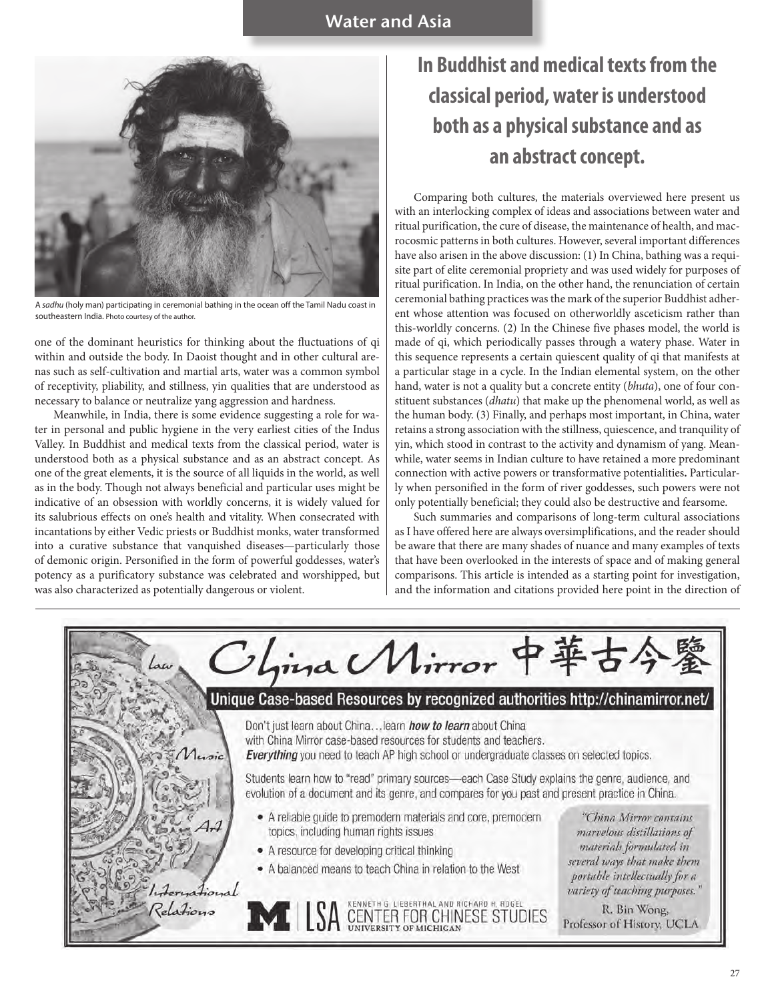

A *sadhu* (holy man) participating in ceremonial bathing in the ocean off the Tamil Nadu coast in southeastern India. Photo courtesy of the author.

one of the dominant heuristics for thinking about the fluctuations of qi within and outside the body. In Daoist thought and in other cultural arenas such as self-cultivation and martial arts, water was a common symbol of receptivity, pliability, and stillness, yin qualities that are understood as necessary to balance or neutralize yang aggression and hardness.

Meanwhile, in India, there is some evidence suggesting a role for water in personal and public hygiene in the very earliest cities of the Indus Valley. In Buddhist and medical texts from the classical period, water is understood both as a physical substance and as an abstract concept. As one of the great elements, it is the source of all liquids in the world, as well as in the body. Though not always beneficial and particular uses might be indicative of an obsession with worldly concerns, it is widely valued for its salubrious effects on one's health and vitality. When consecrated with incantations by either Vedic priests or Buddhist monks, water transformed into a curative substance that vanquished diseases—particularly those of demonic origin. Personified in the form of powerful goddesses, water's potency as a purificatory substance was celebrated and worshipped, but was also characterized as potentially dangerous or violent.

# **In Buddhist and medical texts from the classical period, water is understood both as a physical substance and as an abstract concept.**

Comparing both cultures, the materials overviewed here present us with an interlocking complex of ideas and associations between water and ritual purification, the cure of disease, the maintenance of health, and macrocosmic patterns in both cultures. However, several important differences have also arisen in the above discussion: (1) In China, bathing was a requisite part of elite ceremonial propriety and was used widely for purposes of ritual purification. In India, on the other hand, the renunciation of certain ceremonial bathing practices was the mark of the superior Buddhist adherent whose attention was focused on otherworldly asceticism rather than this-worldly concerns. (2) In the Chinese five phases model, the world is made of qi, which periodically passes through a watery phase. Water in this sequence represents a certain quiescent quality of qi that manifests at a particular stage in a cycle. In the Indian elemental system, on the other hand, water is not a quality but a concrete entity (*bhuta*), one of four constituent substances (*dhatu*) that make up the phenomenal world, as well as the human body. (3) Finally, and perhaps most important, in China, water retains a strong association with the stillness, quiescence, and tranquility of yin, which stood in contrast to the activity and dynamism of yang. Meanwhile, water seems in Indian culture to have retained a more predominant connection with active powers or transformative potentialities**.** Particularly when personified in the form of river goddesses, such powers were not only potentially beneficial; they could also be destructive and fearsome.

Such summaries and comparisons of long-term cultural associations as I have offered here are always oversimplifications, and the reader should be aware that there are many shades of nuance and many examples of texts that have been overlooked in the interests of space and of making general comparisons. This article is intended as a starting point for investigation, and the information and citations provided here point in the direction of